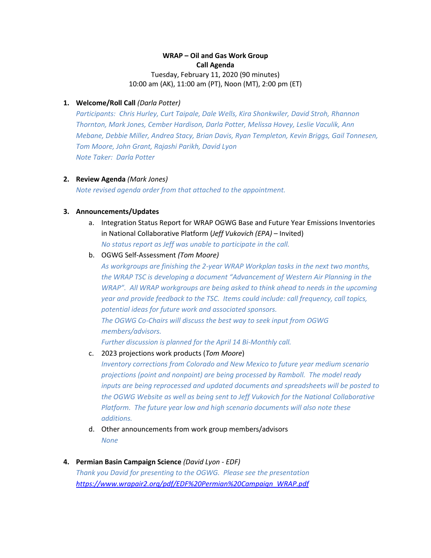# **WRAP – Oil and Gas Work Group Call Agenda**

Tuesday, February 11, 2020 (90 minutes) 10:00 am (AK), 11:00 am (PT), Noon (MT), 2:00 pm (ET)

## **1. Welcome/Roll Call** *(Darla Potter)*

*Participants: Chris Hurley, Curt Taipale, Dale Wells, Kira Shonkwiler, David Stroh, Rhannon Thornton, Mark Jones, Cember Hardison, Darla Potter, Melissa Hovey, Leslie Vaculik, Ann Mebane, Debbie Miller, Andrea Stacy, Brian Davis, Ryan Templeton, Kevin Briggs, Gail Tonnesen, Tom Moore, John Grant, Rajashi Parikh, David Lyon Note Taker: Darla Potter*

#### **2. Review Agenda** *(Mark Jones)*

*Note revised agenda order from that attached to the appointment.*

#### **3. Announcements/Updates**

- a. Integration Status Report for WRAP OGWG Base and Future Year Emissions Inventories in National Collaborative Platform (*Jeff Vukovich (EPA) –* Invited) *No status report as Jeff was unable to participate in the call.*
- b. OGWG Self-Assessment *(Tom Moore)*

*As workgroups are finishing the 2-year WRAP Workplan tasks in the next two months, the WRAP TSC is developing a document "Advancement of Western Air Planning in the WRAP". All WRAP workgroups are being asked to think ahead to needs in the upcoming year and provide feedback to the TSC. Items could include: call frequency, call topics, potential ideas for future work and associated sponsors. The OGWG Co-Chairs will discuss the best way to seek input from OGWG members/advisors.* 

*Further discussion is planned for the April 14 Bi-Monthly call.*

c. 2023 projections work products (*Tom Moore*)

*Inventory corrections from Colorado and New Mexico to future year medium scenario projections (point and nonpoint) are being processed by Ramboll. The model ready inputs are being reprocessed and updated documents and spreadsheets will be posted to the OGWG Website as well as being sent to Jeff Vukovich for the National Collaborative Platform. The future year low and high scenario documents will also note these additions.*

- d. Other announcements from work group members/advisors *None*
- **4. Permian Basin Campaign Science** *(David Lyon - EDF) Thank you David for presenting to the OGWG. Please see the presentation [https://www.wrapair2.org/pdf/EDF%20Permian%20Campaign\\_WRAP.pdf](https://www.wrapair2.org/pdf/EDF%20Permian%20Campaign_WRAP.pdf)*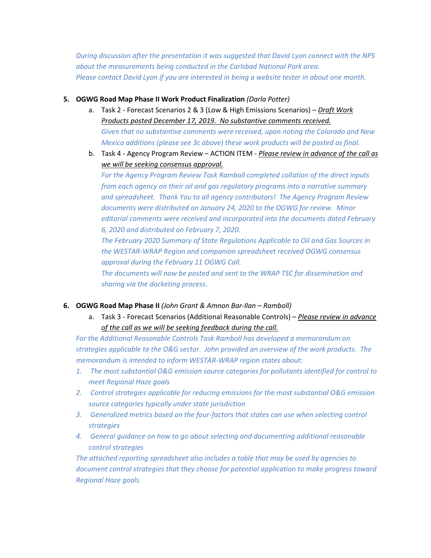*During discussion after the presentation it was suggested that David Lyon connect with the NPS about the measurements being conducted in the Carlsbad National Park area. Please contact David Lyon if you are interested in being a website tester in about one month.* 

## **5. OGWG Road Map Phase II Work Product Finalization** *(Darla Potter)*

- a. Task 2 Forecast Scenarios 2 & 3 (Low & High Emissions Scenarios) *Draft Work Products posted December 17, 2019. No substantive comments received. Given that no substantive comments were received, upon noting the Colorado and New Mexico additions (please see 3c above) these work products will be posted as final.*
- b. Task 4 Agency Program Review ACTION ITEM *Please review in advance of the call as we will be seeking consensus approval.*

*For the Agency Program Review Task Ramboll completed collation of the direct inputs from each agency on their oil and gas regulatory programs into a narrative summary and spreadsheet. Thank You to all agency contributors! The Agency Program Review documents were distributed on January 24, 2020 to the OGWG for review. Minor editorial comments were received and incorporated into the documents dated February 6, 2020 and distributed on February 7, 2020.* 

*The February 2020 Summary of State Regulations Applicable to Oil and Gas Sources in the WESTAR-WRAP Region and companion spreadsheet received OGWG consensus approval during the February 11 OGWG Call.* 

*The documents will now be posted and sent to the WRAP TSC for dissemination and sharing via the docketing process.* 

# **6. OGWG Road Map Phase II** *(John Grant & Amnon Bar-Ilan – Ramboll)*

a. Task 3 - Forecast Scenarios (Additional Reasonable Controls) – *Please review in advance of the call as we will be seeking feedback during the call.*

*For the Additional Reasonable Controls Task Ramboll has developed a memorandum on strategies applicable to the O&G sector. John provided an overview of the work products. The memorandum is intended to inform WESTAR-WRAP region states about:* 

- *1. The most substantial O&G emission source categories for pollutants identified for control to meet Regional Haze goals*
- *2. Control strategies applicable for reducing emissions for the most substantial O&G emission source categories typically under state jurisdiction*
- *3. Generalized metrics based on the four-factors that states can use when selecting control strategies*
- *4. General guidance on how to go about selecting and documenting additional reasonable control strategies*

*The attached reporting spreadsheet also includes a table that may be used by agencies to document control strategies that they choose for potential application to make progress toward Regional Haze goals.*